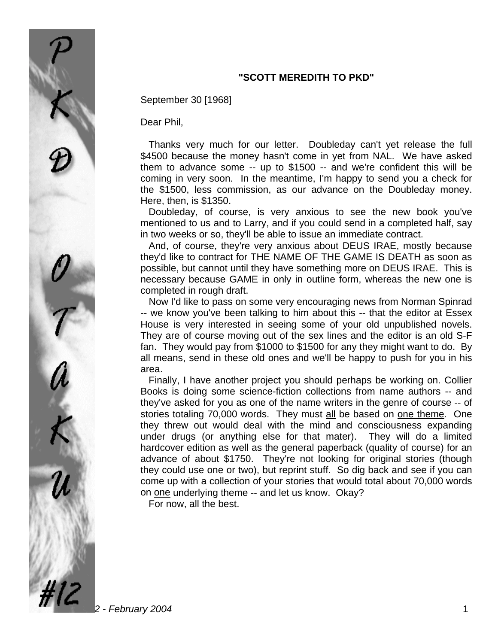## **"SCOTT MEREDITH TO PKD"**

September 30 [1968]

Dear Phil,

 Thanks very much for our letter. Doubleday can't yet release the full \$4500 because the money hasn't come in yet from NAL. We have asked them to advance some -- up to \$1500 -- and we're confident this will be coming in very soon. In the meantime, I'm happy to send you a check for the \$1500, less commission, as our advance on the Doubleday money. Here, then, is \$1350.

 Doubleday, of course, is very anxious to see the new book you've mentioned to us and to Larry, and if you could send in a completed half, say in two weeks or so, they'll be able to issue an immediate contract.

 And, of course, they're very anxious about DEUS IRAE, mostly because they'd like to contract for THE NAME OF THE GAME IS DEATH as soon as possible, but cannot until they have something more on DEUS IRAE. This is necessary because GAME in only in outline form, whereas the new one is completed in rough draft.

 Now I'd like to pass on some very encouraging news from Norman Spinrad -- we know you've been talking to him about this -- that the editor at Essex House is very interested in seeing some of your old unpublished novels. They are of course moving out of the sex lines and the editor is an old S-F fan. They would pay from \$1000 to \$1500 for any they might want to do. By all means, send in these old ones and we'll be happy to push for you in his area.

 Finally, I have another project you should perhaps be working on. Collier Books is doing some science-fiction collections from name authors -- and they've asked for you as one of the name writers in the genre of course -- of stories totaling 70,000 words. They must all be based on one theme. One they threw out would deal with the mind and consciousness expanding under drugs (or anything else for that mater). They will do a limited hardcover edition as well as the general paperback (quality of course) for an advance of about \$1750. They're not looking for original stories (though they could use one or two), but reprint stuff. So dig back and see if you can come up with a collection of your stories that would total about 70,000 words on one underlying theme -- and let us know. Okay?

For now, all the best.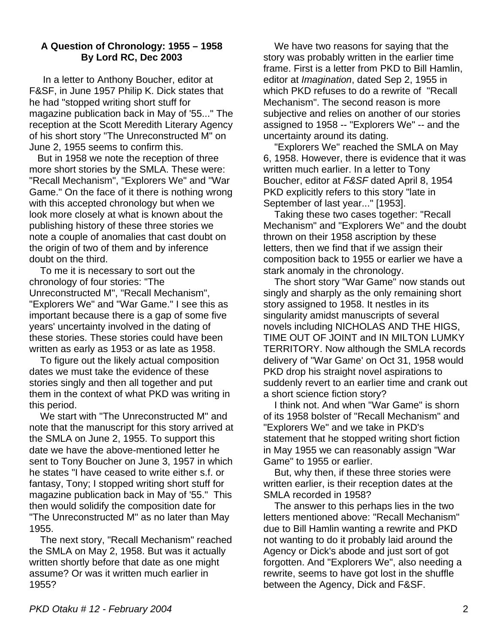## **A Question of Chronology: 1955 – 1958 By Lord RC, Dec 2003**

 In a letter to Anthony Boucher, editor at F&SF, in June 1957 Philip K. Dick states that he had "stopped writing short stuff for magazine publication back in May of '55..." The reception at the Scott Meredith Literary Agency of his short story "The Unreconstructed M" on June 2, 1955 seems to confirm this.

 But in 1958 we note the reception of three more short stories by the SMLA. These were: "Recall Mechanism", "Explorers We" and "War Game." On the face of it there is nothing wrong with this accepted chronology but when we look more closely at what is known about the publishing history of these three stories we note a couple of anomalies that cast doubt on the origin of two of them and by inference doubt on the third.

 To me it is necessary to sort out the chronology of four stories: "The Unreconstructed M", "Recall Mechanism", "Explorers We" and "War Game." I see this as important because there is a gap of some five years' uncertainty involved in the dating of these stories. These stories could have been written as early as 1953 or as late as 1958.

 To figure out the likely actual composition dates we must take the evidence of these stories singly and then all together and put them in the context of what PKD was writing in this period.

 We start with "The Unreconstructed M" and note that the manuscript for this story arrived at the SMLA on June 2, 1955. To support this date we have the above-mentioned letter he sent to Tony Boucher on June 3, 1957 in which he states "I have ceased to write either s.f. or fantasy, Tony; I stopped writing short stuff for magazine publication back in May of '55." This then would solidify the composition date for "The Unreconstructed M" as no later than May 1955.

 The next story, "Recall Mechanism" reached the SMLA on May 2, 1958. But was it actually written shortly before that date as one might assume? Or was it written much earlier in 1955?

 We have two reasons for saying that the story was probably written in the earlier time frame. First is a letter from PKD to Bill Hamlin, editor at *Imagination*, dated Sep 2, 1955 in which PKD refuses to do a rewrite of "Recall Mechanism". The second reason is more subjective and relies on another of our stories assigned to 1958 -- "Explorers We" -- and the uncertainty around its dating.

 "Explorers We" reached the SMLA on May 6, 1958. However, there is evidence that it was written much earlier. In a letter to Tony Boucher, editor at *F&SF* dated April 8, 1954 PKD explicitly refers to this story "late in September of last year..." [1953].

 Taking these two cases together: "Recall Mechanism" and "Explorers We" and the doubt thrown on their 1958 ascription by these letters, then we find that if we assign their composition back to 1955 or earlier we have a stark anomaly in the chronology.

 The short story "War Game" now stands out singly and sharply as the only remaining short story assigned to 1958. It nestles in its singularity amidst manuscripts of several novels including NICHOLAS AND THE HIGS, TIME OUT OF JOINT and IN MILTON LUMKY TERRITORY. Now although the SMLA records delivery of "War Game' on Oct 31, 1958 would PKD drop his straight novel aspirations to suddenly revert to an earlier time and crank out a short science fiction story?

 I think not. And when "War Game" is shorn of its 1958 bolster of "Recall Mechanism" and "Explorers We" and we take in PKD's statement that he stopped writing short fiction in May 1955 we can reasonably assign "War Game" to 1955 or earlier.

 But, why then, if these three stories were written earlier, is their reception dates at the SMLA recorded in 1958?

 The answer to this perhaps lies in the two letters mentioned above: "Recall Mechanism" due to Bill Hamlin wanting a rewrite and PKD not wanting to do it probably laid around the Agency or Dick's abode and just sort of got forgotten. And "Explorers We", also needing a rewrite, seems to have got lost in the shuffle between the Agency, Dick and F&SF.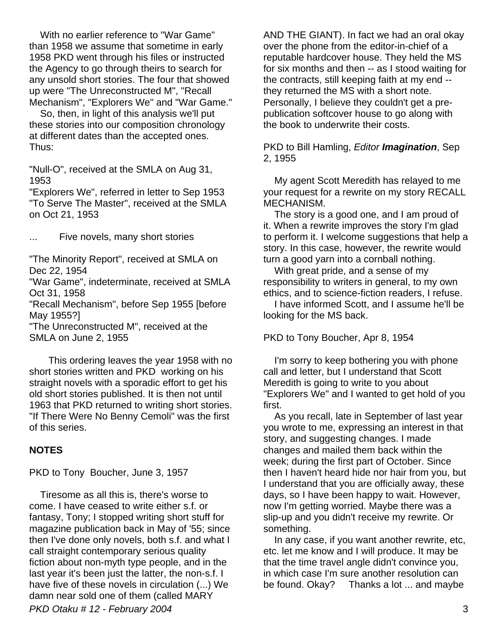With no earlier reference to "War Game" than 1958 we assume that sometime in early 1958 PKD went through his files or instructed the Agency to go through theirs to search for any unsold short stories. The four that showed up were "The Unreconstructed M", "Recall Mechanism", "Explorers We" and "War Game."

 So, then, in light of this analysis we'll put these stories into our composition chronology at different dates than the accepted ones. Thus:

"Null-O", received at the SMLA on Aug 31, 1953

"Explorers We", referred in letter to Sep 1953 "To Serve The Master", received at the SMLA on Oct 21, 1953

... Five novels, many short stories

"The Minority Report", received at SMLA on Dec 22, 1954

"War Game", indeterminate, received at SMLA Oct 31, 1958

"Recall Mechanism", before Sep 1955 [before May 1955?]

"The Unreconstructed M", received at the SMLA on June 2, 1955

 This ordering leaves the year 1958 with no short stories written and PKD working on his straight novels with a sporadic effort to get his old short stories published. It is then not until 1963 that PKD returned to writing short stories. "If There Were No Benny Cemoli" was the first of this series.

### **NOTES**

PKD to Tony Boucher, June 3, 1957

*PKD Otaku # 12 - February 2004* 3 Tiresome as all this is, there's worse to come. I have ceased to write either s.f. or fantasy, Tony; I stopped writing short stuff for magazine publication back in May of '55; since then I've done only novels, both s.f. and what I call straight contemporary serious quality fiction about non-myth type people, and in the last year it's been just the latter, the non-s.f. I have five of these novels in circulation (...) We damn near sold one of them (called MARY

AND THE GIANT). In fact we had an oral okay over the phone from the editor-in-chief of a reputable hardcover house. They held the MS for six months and then -- as I stood waiting for the contracts, still keeping faith at my end - they returned the MS with a short note. Personally, I believe they couldn't get a prepublication softcover house to go along with the book to underwrite their costs.

PKD to Bill Hamling, *Editor Imagination*, Sep 2, 1955

 My agent Scott Meredith has relayed to me your request for a rewrite on my story RECALL MECHANISM.

 The story is a good one, and I am proud of it. When a rewrite improves the story I'm glad to perform it. I welcome suggestions that help a story. In this case, however, the rewrite would turn a good yarn into a cornball nothing.

 With great pride, and a sense of my responsibility to writers in general, to my own ethics, and to science-fiction readers, I refuse.

 I have informed Scott, and I assume he'll be looking for the MS back.

PKD to Tony Boucher, Apr 8, 1954

 I'm sorry to keep bothering you with phone call and letter, but I understand that Scott Meredith is going to write to you about "Explorers We" and I wanted to get hold of you first.

 As you recall, late in September of last year you wrote to me, expressing an interest in that story, and suggesting changes. I made changes and mailed them back within the week; during the first part of October. Since then I haven't heard hide nor hair from you, but I understand that you are officially away, these days, so I have been happy to wait. However, now I'm getting worried. Maybe there was a slip-up and you didn't receive my rewrite. Or something.

 In any case, if you want another rewrite, etc, etc. let me know and I will produce. It may be that the time travel angle didn't convince you, in which case I'm sure another resolution can be found. Okay? Thanks a lot ... and maybe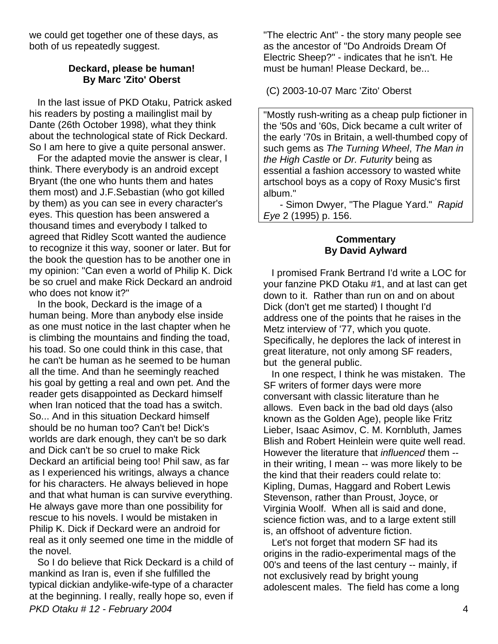we could get together one of these days, as both of us repeatedly suggest.

### **Deckard, please be human! By Marc 'Zito' Oberst**

 In the last issue of PKD Otaku, Patrick asked his readers by posting a mailinglist mail by Dante (26th October 1998), what they think about the technological state of Rick Deckard. So I am here to give a quite personal answer.

 For the adapted movie the answer is clear, I think. There everybody is an android except Bryant (the one who hunts them and hates them most) and J.F.Sebastian (who got killed by them) as you can see in every character's eyes. This question has been answered a thousand times and everybody I talked to agreed that Ridley Scott wanted the audience to recognize it this way, sooner or later. But for the book the question has to be another one in my opinion: "Can even a world of Philip K. Dick be so cruel and make Rick Deckard an android who does not know it?"

 In the book, Deckard is the image of a human being. More than anybody else inside as one must notice in the last chapter when he is climbing the mountains and finding the toad, his toad. So one could think in this case, that he can't be human as he seemed to be human all the time. And than he seemingly reached his goal by getting a real and own pet. And the reader gets disappointed as Deckard himself when Iran noticed that the toad has a switch. So... And in this situation Deckard himself should be no human too? Can't be! Dick's worlds are dark enough, they can't be so dark and Dick can't be so cruel to make Rick Deckard an artificial being too! Phil saw, as far as I experienced his writings, always a chance for his characters. He always believed in hope and that what human is can survive everything. He always gave more than one possibility for rescue to his novels. I would be mistaken in Philip K. Dick if Deckard were an android for real as it only seemed one time in the middle of the novel.

*PKD Otaku # 12 - February 2004* 4 So I do believe that Rick Deckard is a child of mankind as Iran is, even if she fulfilled the typical dickian andylike-wife-type of a character at the beginning. I really, really hope so, even if

"The electric Ant" - the story many people see as the ancestor of "Do Androids Dream Of Electric Sheep?" - indicates that he isn't. He must be human! Please Deckard, be...

(C) 2003-10-07 Marc 'Zito' Oberst

"Mostly rush-writing as a cheap pulp fictioner in the '50s and '60s, Dick became a cult writer of the early '70s in Britain, a well-thumbed copy of such gems as *The Turning Wheel*, *The Man in the High Castle* or *Dr. Futurity* being as essential a fashion accessory to wasted white artschool boys as a copy of Roxy Music's first album."

 - Simon Dwyer, "The Plague Yard." *Rapid Eye* 2 (1995) p. 156.

#### **Commentary By David Aylward**

 I promised Frank Bertrand I'd write a LOC for your fanzine PKD Otaku #1, and at last can get down to it. Rather than run on and on about Dick (don't get me started) I thought I'd address one of the points that he raises in the Metz interview of '77, which you quote. Specifically, he deplores the lack of interest in great literature, not only among SF readers, but the general public.

 In one respect, I think he was mistaken. The SF writers of former days were more conversant with classic literature than he allows. Even back in the bad old days (also known as the Golden Age), people like Fritz Lieber, Isaac Asimov, C. M. Kornbluth, James Blish and Robert Heinlein were quite well read. However the literature that *influenced* them - in their writing, I mean -- was more likely to be the kind that their readers could relate to: Kipling, Dumas, Haggard and Robert Lewis Stevenson, rather than Proust, Joyce, or Virginia Woolf. When all is said and done, science fiction was, and to a large extent still is, an offshoot of adventure fiction.

 Let's not forget that modern SF had its origins in the radio-experimental mags of the 00's and teens of the last century -- mainly, if not exclusively read by bright young adolescent males. The field has come a long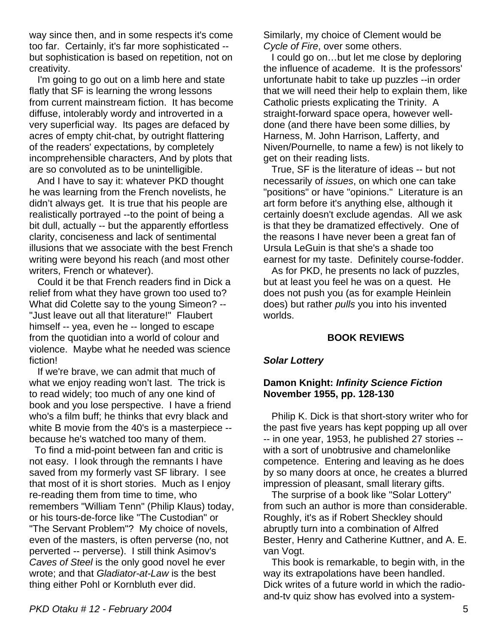way since then, and in some respects it's come too far. Certainly, it's far more sophisticated - but sophistication is based on repetition, not on creativity.

 I'm going to go out on a limb here and state flatly that SF is learning the wrong lessons from current mainstream fiction. It has become diffuse, intolerably wordy and introverted in a very superficial way. Its pages are defaced by acres of empty chit-chat, by outright flattering of the readers' expectations, by completely incomprehensible characters, And by plots that are so convoluted as to be unintelligible.

 And I have to say it: whatever PKD thought he was learning from the French novelists, he didn't always get. It is true that his people are realistically portrayed --to the point of being a bit dull, actually -- but the apparently effortless clarity, conciseness and lack of sentimental illusions that we associate with the best French writing were beyond his reach (and most other writers, French or whatever).

 Could it be that French readers find in Dick a relief from what they have grown too used to? What did Colette say to the young Simeon? -- "Just leave out all that literature!" Flaubert himself -- yea, even he -- longed to escape from the quotidian into a world of colour and violence. Maybe what he needed was science fiction!

 If we're brave, we can admit that much of what we enjoy reading won't last. The trick is to read widely; too much of any one kind of book and you lose perspective. I have a friend who's a film buff; he thinks that evry black and white B movie from the 40's is a masterpiece -because he's watched too many of them.

 To find a mid-point between fan and critic is not easy. I look through the remnants I have saved from my formerly vast SF library. I see that most of it is short stories. Much as I enjoy re-reading them from time to time, who remembers "William Tenn" (Philip Klaus) today, or his tours-de-force like "The Custodian" or "The Servant Problem"? My choice of novels, even of the masters, is often perverse (no, not perverted -- perverse). I still think Asimov's *Caves of Steel* is the only good novel he ever wrote; and that *Gladiator-at-Law* is the best thing either Pohl or Kornbluth ever did.

Similarly, my choice of Clement would be *Cycle of Fire*, over some others.

I could go on...but let me close by deploring the influence of academe. It is the professors' unfortunate habit to take up puzzles --in order that we will need their help to explain them, like Catholic priests explicating the Trinity. A straight-forward space opera, however welldone (and there have been some dillies, by Harness, M. John Harrison, Lafferty, and Niven/Pournelle, to name a few) is not likely to get on their reading lists.

 True, SF is the literature of ideas -- but not necessarily of *issues*, on which one can take "positions" or have "opinions." Literature is an art form before it's anything else, although it certainly doesn't exclude agendas. All we ask is that they be dramatized effectively. One of the reasons I have never been a great fan of Ursula LeGuin is that she's a shade too earnest for my taste. Definitely course-fodder.

 As for PKD, he presents no lack of puzzles, but at least you feel he was on a quest. He does not push you (as for example Heinlein does) but rather *pulls* you into his invented worlds.

### **BOOK REVIEWS**

### *Solar Lottery*

### **Damon Knight:** *Infinity Science Fiction*  **November 1955, pp. 128-130**

 Philip K. Dick is that short-story writer who for the past five years has kept popping up all over -- in one year, 1953, he published 27 stories - with a sort of unobtrusive and chamelonlike competence. Entering and leaving as he does by so many doors at once, he creates a blurred impression of pleasant, small literary gifts.

 The surprise of a book like "Solar Lottery" from such an author is more than considerable. Roughly, it's as if Robert Sheckley should abruptly turn into a combination of Alfred Bester, Henry and Catherine Kuttner, and A. E. van Vogt.

 This book is remarkable, to begin with, in the way its extrapolations have been handled. Dick writes of a future world in which the radioand-tv quiz show has evolved into a system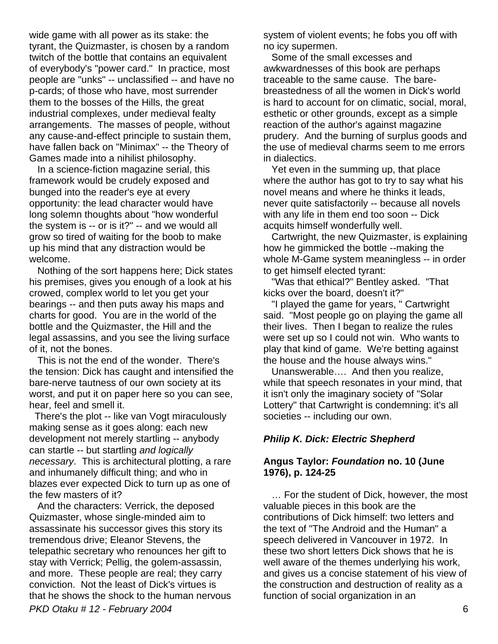wide game with all power as its stake: the tyrant, the Quizmaster, is chosen by a random twitch of the bottle that contains an equivalent of everybody's "power card." In practice, most people are "unks" -- unclassified -- and have no p-cards; of those who have, most surrender them to the bosses of the Hills, the great industrial complexes, under medieval fealty arrangements. The masses of people, without any cause-and-effect principle to sustain them, have fallen back on "Minimax" -- the Theory of Games made into a nihilist philosophy.

 In a science-fiction magazine serial, this framework would be crudely exposed and bunged into the reader's eye at every opportunity: the lead character would have long solemn thoughts about "how wonderful the system is -- or is it?" -- and we would all grow so tired of waiting for the boob to make up his mind that any distraction would be welcome.

 Nothing of the sort happens here; Dick states his premises, gives you enough of a look at his crowed, complex world to let you get your bearings -- and then puts away his maps and charts for good. You are in the world of the bottle and the Quizmaster, the Hill and the legal assassins, and you see the living surface of it, not the bones.

 This is not the end of the wonder. There's the tension: Dick has caught and intensified the bare-nerve tautness of our own society at its worst, and put it on paper here so you can see, hear, feel and smell it.

 There's the plot -- like van Vogt miraculously making sense as it goes along: each new development not merely startling -- anybody can startle -- but startling *and logically necessary*. This is architectural plotting, a rare and inhumanely difficult thing; and who in blazes ever expected Dick to turn up as one of the few masters of it?

*PKD Otaku # 12 - February 2004* 6 And the characters: Verrick, the deposed Quizmaster, whose single-minded aim to assassinate his successor gives this story its tremendous drive; Eleanor Stevens, the telepathic secretary who renounces her gift to stay with Verrick; Pellig, the golem-assassin, and more. These people are real; they carry conviction. Not the least of Dick's virtues is that he shows the shock to the human nervous

system of violent events; he fobs you off with no icy supermen.

 Some of the small excesses and awkwardnesses of this book are perhaps traceable to the same cause. The barebreastedness of all the women in Dick's world is hard to account for on climatic, social, moral, esthetic or other grounds, except as a simple reaction of the author's against magazine prudery. And the burning of surplus goods and the use of medieval charms seem to me errors in dialectics.

 Yet even in the summing up, that place where the author has got to try to say what his novel means and where he thinks it leads, never quite satisfactorily -- because all novels with any life in them end too soon -- Dick acquits himself wonderfully well.

 Cartwright, the new Quizmaster, is explaining how he gimmicked the bottle --making the whole M-Game system meaningless -- in order to get himself elected tyrant:

 "Was that ethical?" Bentley asked. "That kicks over the board, doesn't it?"

 "I played the game for years, " Cartwright said. "Most people go on playing the game all their lives. Then I began to realize the rules were set up so I could not win. Who wants to play that kind of game. We're betting against the house and the house always wins."

 Unanswerable…. And then you realize, while that speech resonates in your mind, that it isn't only the imaginary society of "Solar Lottery" that Cartwright is condemning: it's all societies -- including our own.

# *Philip K. Dick: Electric Shepherd*

### **Angus Taylor:** *Foundation* **no. 10 (June 1976), p. 124-25**

 … For the student of Dick, however, the most valuable pieces in this book are the contributions of Dick himself: two letters and the text of "The Android and the Human" a speech delivered in Vancouver in 1972. In these two short letters Dick shows that he is well aware of the themes underlying his work, and gives us a concise statement of his view of the construction and destruction of reality as a function of social organization in an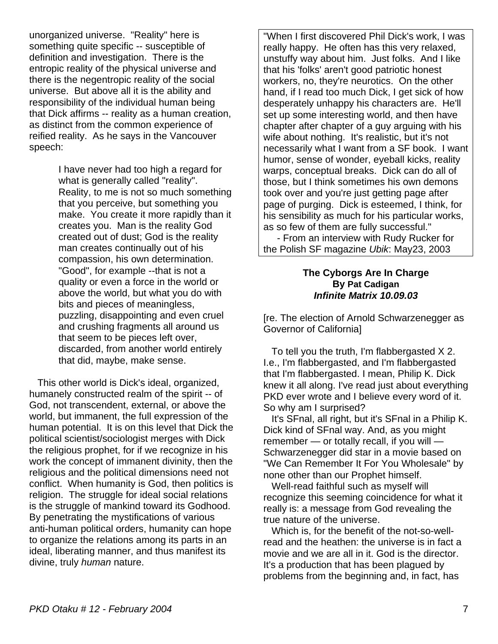unorganized universe. "Reality" here is something quite specific -- susceptible of definition and investigation. There is the entropic reality of the physical universe and there is the negentropic reality of the social universe. But above all it is the ability and responsibility of the individual human being that Dick affirms -- reality as a human creation, as distinct from the common experience of reified reality. As he says in the Vancouver speech:

> I have never had too high a regard for what is generally called "reality". Reality, to me is not so much something that you perceive, but something you make. You create it more rapidly than it creates you. Man is the reality God created out of dust; God is the reality man creates continually out of his compassion, his own determination. "Good", for example --that is not a quality or even a force in the world or above the world, but what you do with bits and pieces of meaningless, puzzling, disappointing and even cruel and crushing fragments all around us that seem to be pieces left over, discarded, from another world entirely that did, maybe, make sense.

 This other world is Dick's ideal, organized, humanely constructed realm of the spirit -- of God, not transcendent, external, or above the world, but immanent, the full expression of the human potential. It is on this level that Dick the political scientist/sociologist merges with Dick the religious prophet, for if we recognize in his work the concept of immanent divinity, then the religious and the political dimensions need not conflict. When humanity is God, then politics is religion. The struggle for ideal social relations is the struggle of mankind toward its Godhood. By penetrating the mystifications of various anti-human political orders, humanity can hope to organize the relations among its parts in an ideal, liberating manner, and thus manifest its divine, truly *human* nature.

"When I first discovered Phil Dick's work, I was really happy. He often has this very relaxed, unstuffy way about him. Just folks. And I like that his 'folks' aren't good patriotic honest workers, no, they're neurotics. On the other hand, if I read too much Dick, I get sick of how desperately unhappy his characters are. He'll set up some interesting world, and then have chapter after chapter of a guy arguing with his wife about nothing. It's realistic, but it's not necessarily what I want from a SF book. I want humor, sense of wonder, eyeball kicks, reality warps, conceptual breaks. Dick can do all of those, but I think sometimes his own demons took over and you're just getting page after page of purging. Dick is esteemed, I think, for his sensibility as much for his particular works, as so few of them are fully successful."

- From an interview with Rudy Rucker for the Polish SF magazine *Ubik*: May23, 2003

### **The Cyborgs Are In Charge By Pat Cadigan** *Infinite Matrix 10.09.03*

[re. The election of Arnold Schwarzenegger as Governor of California]

 To tell you the truth, I'm flabbergasted X 2. I.e., I'm flabbergasted, and I'm flabbergasted that I'm flabbergasted. I mean, Philip K. Dick knew it all along. I've read just about everything PKD ever wrote and I believe every word of it. So why am I surprised?

 It's SFnal, all right, but it's SFnal in a Philip K. Dick kind of SFnal way. And, as you might remember — or totally recall, if you will — Schwarzenegger did star in a movie based on "We Can Remember It For You Wholesale" by none other than our Prophet himself.

 Well-read faithful such as myself will recognize this seeming coincidence for what it really is: a message from God revealing the true nature of the universe.

 Which is, for the benefit of the not-so-wellread and the heathen: the universe is in fact a movie and we are all in it. God is the director. It's a production that has been plagued by problems from the beginning and, in fact, has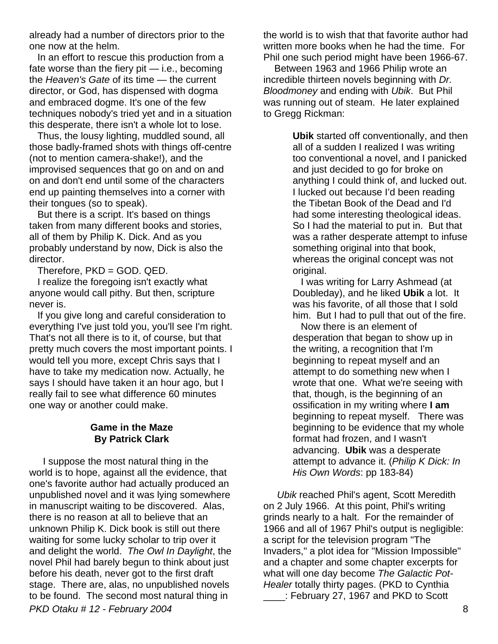already had a number of directors prior to the one now at the helm.

 In an effort to rescue this production from a fate worse than the fiery pit — i.e., becoming the *Heaven's Gate* of its time — the current director, or God, has dispensed with dogma and embraced dogme. It's one of the few techniques nobody's tried yet and in a situation this desperate, there isn't a whole lot to lose.

 Thus, the lousy lighting, muddled sound, all those badly-framed shots with things off-centre (not to mention camera-shake!), and the improvised sequences that go on and on and on and don't end until some of the characters end up painting themselves into a corner with their tongues (so to speak).

 But there is a script. It's based on things taken from many different books and stories, all of them by Philip K. Dick. And as you probably understand by now, Dick is also the director.

Therefore, PKD = GOD. QED.

 I realize the foregoing isn't exactly what anyone would call pithy. But then, scripture never is.

 If you give long and careful consideration to everything I've just told you, you'll see I'm right. That's not all there is to it, of course, but that pretty much covers the most important points. I would tell you more, except Chris says that I have to take my medication now. Actually, he says I should have taken it an hour ago, but I really fail to see what difference 60 minutes one way or another could make.

## **Game in the Maze By Patrick Clark**

*PKD Otaku # 12 - February 2004* 8 I suppose the most natural thing in the world is to hope, against all the evidence, that one's favorite author had actually produced an unpublished novel and it was lying somewhere in manuscript waiting to be discovered. Alas, there is no reason at all to believe that an unknown Philip K. Dick book is still out there waiting for some lucky scholar to trip over it and delight the world. *The Owl In Daylight*, the novel Phil had barely begun to think about just before his death, never got to the first draft stage. There are, alas, no unpublished novels to be found. The second most natural thing in

the world is to wish that that favorite author had written more books when he had the time. For Phil one such period might have been 1966-67.

 Between 1963 and 1966 Philip wrote an incredible thirteen novels beginning with *Dr. Bloodmoney* and ending with *Ubik*. But Phil was running out of steam. He later explained to Gregg Rickman:

> **Ubik** started off conventionally, and then all of a sudden I realized I was writing too conventional a novel, and I panicked and just decided to go for broke on anything I could think of, and lucked out. I lucked out because I'd been reading the Tibetan Book of the Dead and I'd had some interesting theological ideas. So I had the material to put in. But that was a rather desperate attempt to infuse something original into that book, whereas the original concept was not original.

 I was writing for Larry Ashmead (at Doubleday), and he liked **Ubik** a lot. It was his favorite, of all those that I sold him. But I had to pull that out of the fire.

 Now there is an element of desperation that began to show up in the writing, a recognition that I'm beginning to repeat myself and an attempt to do something new when I wrote that one. What we're seeing with that, though, is the beginning of an ossification in my writing where **I am** beginning to repeat myself. There was beginning to be evidence that my whole format had frozen, and I wasn't advancing. **Ubik** was a desperate attempt to advance it. (*Philip K Dick: In His Own Words*: pp 183-84)

 *Ubik* reached Phil's agent, Scott Meredith on 2 July 1966. At this point, Phil's writing grinds nearly to a halt. For the remainder of 1966 and all of 1967 Phil's output is negligible: a script for the television program "The Invaders," a plot idea for "Mission Impossible" and a chapter and some chapter excerpts for what will one day become *The Galactic Pot-Healer* totally thirty pages. (PKD to Cynthia \_\_\_\_: February 27, 1967 and PKD to Scott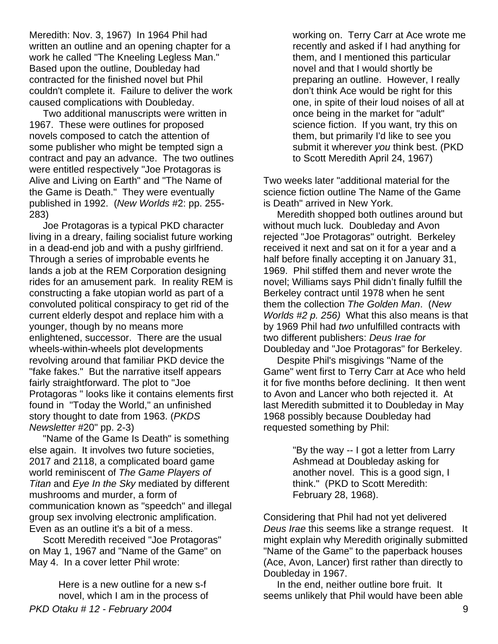Meredith: Nov. 3, 1967) In 1964 Phil had written an outline and an opening chapter for a work he called "The Kneeling Legless Man." Based upon the outline, Doubleday had contracted for the finished novel but Phil couldn't complete it. Failure to deliver the work caused complications with Doubleday.

 Two additional manuscripts were written in 1967. These were outlines for proposed novels composed to catch the attention of some publisher who might be tempted sign a contract and pay an advance. The two outlines were entitled respectively "Joe Protagoras is Alive and Living on Earth" and "The Name of the Game is Death." They were eventually published in 1992. (*New Worlds* #2: pp. 255- 283)

 Joe Protagoras is a typical PKD character living in a dreary, failing socialist future working in a dead-end job and with a pushy girlfriend. Through a series of improbable events he lands a job at the REM Corporation designing rides for an amusement park. In reality REM is constructing a fake utopian world as part of a convoluted political conspiracy to get rid of the current elderly despot and replace him with a younger, though by no means more enlightened, successor. There are the usual wheels-within-wheels plot developments revolving around that familiar PKD device the "fake fakes." But the narrative itself appears fairly straightforward. The plot to "Joe Protagoras " looks like it contains elements first found in "Today the World," an unfinished story thought to date from 1963. (*PKDS Newsletter* #20" pp. 2-3)

 "Name of the Game Is Death" is something else again. It involves two future societies, 2017 and 2118, a complicated board game world reminiscent of *The Game Players of Titan* and *Eye In the Sky* mediated by different mushrooms and murder, a form of communication known as "speedch" and illegal group sex involving electronic amplification. Even as an outline it's a bit of a mess.

 Scott Meredith received "Joe Protagoras" on May 1, 1967 and "Name of the Game" on May 4. In a cover letter Phil wrote:

*PKD Otaku # 12 - February 2004* 9 Here is a new outline for a new s-f novel, which I am in the process of

working on. Terry Carr at Ace wrote me recently and asked if I had anything for them, and I mentioned this particular novel and that I would shortly be preparing an outline. However, I really don't think Ace would be right for this one, in spite of their loud noises of all at once being in the market for "adult" science fiction. If you want, try this on them, but primarily I'd like to see you submit it wherever *you* think best. (PKD to Scott Meredith April 24, 1967)

Two weeks later "additional material for the science fiction outline The Name of the Game is Death" arrived in New York.

 Meredith shopped both outlines around but without much luck. Doubleday and Avon rejected "Joe Protagoras" outright. Berkeley received it next and sat on it for a year and a half before finally accepting it on January 31, 1969. Phil stiffed them and never wrote the novel; Williams says Phil didn't finally fulfill the Berkeley contract until 1978 when he sent them the collection *The Golden Man*. (*New Worlds #2 p. 256)* What this also means is that by 1969 Phil had *two* unfulfilled contracts with two different publishers: *Deus Irae for*  Doubleday and "Joe Protagoras" for Berkeley.

 Despite Phil's misgivings "Name of the Game" went first to Terry Carr at Ace who held it for five months before declining. It then went to Avon and Lancer who both rejected it. At last Meredith submitted it to Doubleday in May 1968 possibly because Doubleday had requested something by Phil:

> "By the way -- I got a letter from Larry Ashmead at Doubleday asking for another novel. This is a good sign, I think." (PKD to Scott Meredith: February 28, 1968).

Considering that Phil had not yet delivered *Deus Irae* this seems like a strange request. It might explain why Meredith originally submitted "Name of the Game" to the paperback houses (Ace, Avon, Lancer) first rather than directly to Doubleday in 1967.

 In the end, neither outline bore fruit. It seems unlikely that Phil would have been able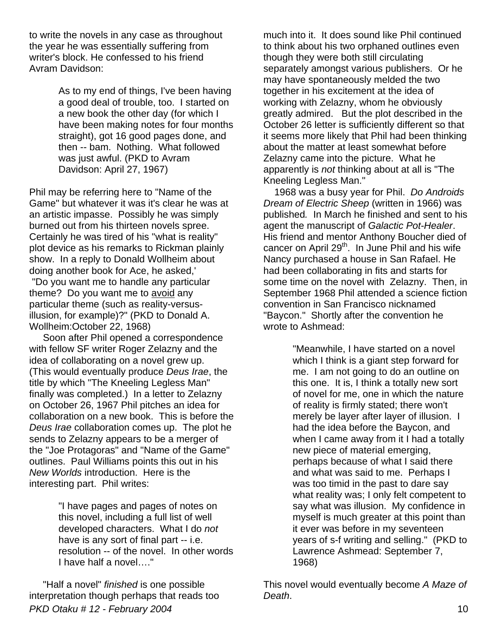to write the novels in any case as throughout the year he was essentially suffering from writer's block. He confessed to his friend Avram Davidson:

> As to my end of things, I've been having a good deal of trouble, too. I started on a new book the other day (for which I have been making notes for four months straight), got 16 good pages done, and then -- bam. Nothing. What followed was just awful. (PKD to Avram Davidson: April 27, 1967)

Phil may be referring here to "Name of the Game" but whatever it was it's clear he was at an artistic impasse. Possibly he was simply burned out from his thirteen novels spree. Certainly he was tired of his "what is reality" plot device as his remarks to Rickman plainly show. In a reply to Donald Wollheim about doing another book for Ace, he asked,'

 "Do you want me to handle any particular theme? Do you want me to avoid any particular theme (such as reality-versusillusion, for example)?" (PKD to Donald A. Wollheim:October 22, 1968)

 Soon after Phil opened a correspondence with fellow SF writer Roger Zelazny and the idea of collaborating on a novel grew up. (This would eventually produce *Deus Irae*, the title by which "The Kneeling Legless Man" finally was completed.) In a letter to Zelazny on October 26, 1967 Phil pitches an idea for collaboration on a new book. This is before the *Deus Irae* collaboration comes up. The plot he sends to Zelazny appears to be a merger of the "Joe Protagoras" and "Name of the Game" outlines. Paul Williams points this out in his *New Worlds* introduction. Here is the interesting part. Phil writes:

> "I have pages and pages of notes on this novel, including a full list of well developed characters. What I do *not*  have is any sort of final part -- i.e. resolution -- of the novel. In other words I have half a novel…."

*PKD Otaku # 12 - February 2004* 10 "Half a novel" *finished* is one possible interpretation though perhaps that reads too

much into it. It does sound like Phil continued to think about his two orphaned outlines even though they were both still circulating separately amongst various publishers. Or he may have spontaneously melded the two together in his excitement at the idea of working with Zelazny, whom he obviously greatly admired. But the plot described in the October 26 letter is sufficiently different so that it seems more likely that Phil had been thinking about the matter at least somewhat before Zelazny came into the picture. What he apparently is *not* thinking about at all is "The Kneeling Legless Man."

 1968 was a busy year for Phil. *Do Androids Dream of Electric Sheep* (written in 1966) was published*.* In March he finished and sent to his agent the manuscript of *Galactic Pot-Healer*. His friend and mentor Anthony Boucher died of cancer on April  $29<sup>th</sup>$ . In June Phil and his wife Nancy purchased a house in San Rafael. He had been collaborating in fits and starts for some time on the novel with Zelazny.Then, in September 1968 Phil attended a science fiction convention in San Francisco nicknamed "Baycon." Shortly after the convention he wrote to Ashmead:

> "Meanwhile, I have started on a novel which I think is a giant step forward for me. I am not going to do an outline on this one. It is, I think a totally new sort of novel for me, one in which the nature of reality is firmly stated; there won't merely be layer after layer of illusion. I had the idea before the Baycon, and when I came away from it I had a totally new piece of material emerging, perhaps because of what I said there and what was said to me. Perhaps I was too timid in the past to dare say what reality was; I only felt competent to say what was illusion. My confidence in myself is much greater at this point than it ever was before in my seventeen years of s-f writing and selling." (PKD to Lawrence Ashmead: September 7, 1968)

This novel would eventually become *A Maze of Death*.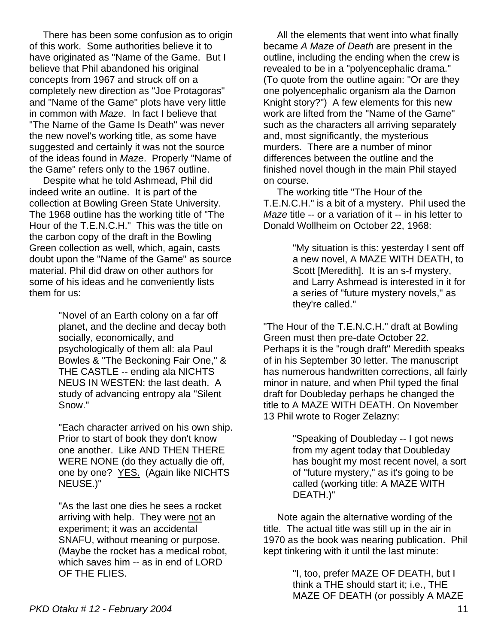There has been some confusion as to origin of this work. Some authorities believe it to have originated as "Name of the Game. But I believe that Phil abandoned his original concepts from 1967 and struck off on a completely new direction as "Joe Protagoras" and "Name of the Game" plots have very little in common with *Maze*. In fact I believe that "The Name of the Game Is Death" was never the new novel's working title, as some have suggested and certainly it was not the source of the ideas found in *Maze*. Properly "Name of the Game" refers only to the 1967 outline.

 Despite what he told Ashmead, Phil did indeed write an outline. It is part of the collection at Bowling Green State University. The 1968 outline has the working title of "The Hour of the T.E.N.C.H." This was the title on the carbon copy of the draft in the Bowling Green collection as well, which, again, casts doubt upon the "Name of the Game" as source material. Phil did draw on other authors for some of his ideas and he conveniently lists them for us:

> "Novel of an Earth colony on a far off planet, and the decline and decay both socially, economically, and psychologically of them all: ala Paul Bowles & "The Beckoning Fair One," & THE CASTLE -- ending ala NICHTS NEUS IN WESTEN: the last death. A study of advancing entropy ala "Silent Snow."

"Each character arrived on his own ship. Prior to start of book they don't know one another. Like AND THEN THERE WERE NONE (do they actually die off, one by one? YES. (Again like NICHTS NEUSE.)"

"As the last one dies he sees a rocket arriving with help. They were not an experiment; it was an accidental SNAFU, without meaning or purpose. (Maybe the rocket has a medical robot, which saves him -- as in end of LORD OF THE FLIES.

 All the elements that went into what finally became *A Maze of Death* are present in the outline, including the ending when the crew is revealed to be in a "polyencephalic drama." (To quote from the outline again: "Or are they one polyencephalic organism ala the Damon Knight story?") A few elements for this new work are lifted from the "Name of the Game" such as the characters all arriving separately and, most significantly, the mysterious murders. There are a number of minor differences between the outline and the finished novel though in the main Phil stayed on course.

 The working title "The Hour of the T.E.N.C.H." is a bit of a mystery. Phil used the *Maze* title -- or a variation of it -- in his letter to Donald Wollheim on October 22, 1968:

> "My situation is this: yesterday I sent off a new novel, A MAZE WITH DEATH, to Scott [Meredith]. It is an s-f mystery, and Larry Ashmead is interested in it for a series of "future mystery novels," as they're called."

"The Hour of the T.E.N.C.H." draft at Bowling Green must then pre-date October 22. Perhaps it is the "rough draft" Meredith speaks of in his September 30 letter. The manuscript has numerous handwritten corrections, all fairly minor in nature, and when Phil typed the final draft for Doubleday perhaps he changed the title to A MAZE WITH DEATH. On November 13 Phil wrote to Roger Zelazny:

> "Speaking of Doubleday -- I got news from my agent today that Doubleday has bought my most recent novel, a sort of "future mystery," as it's going to be called (working title: A MAZE WITH DEATH.)"

 Note again the alternative wording of the title. The actual title was still up in the air in 1970 as the book was nearing publication. Phil kept tinkering with it until the last minute:

> "I, too, prefer MAZE OF DEATH, but I think a THE should start it; i.e., THE MAZE OF DEATH (or possibly A MAZE